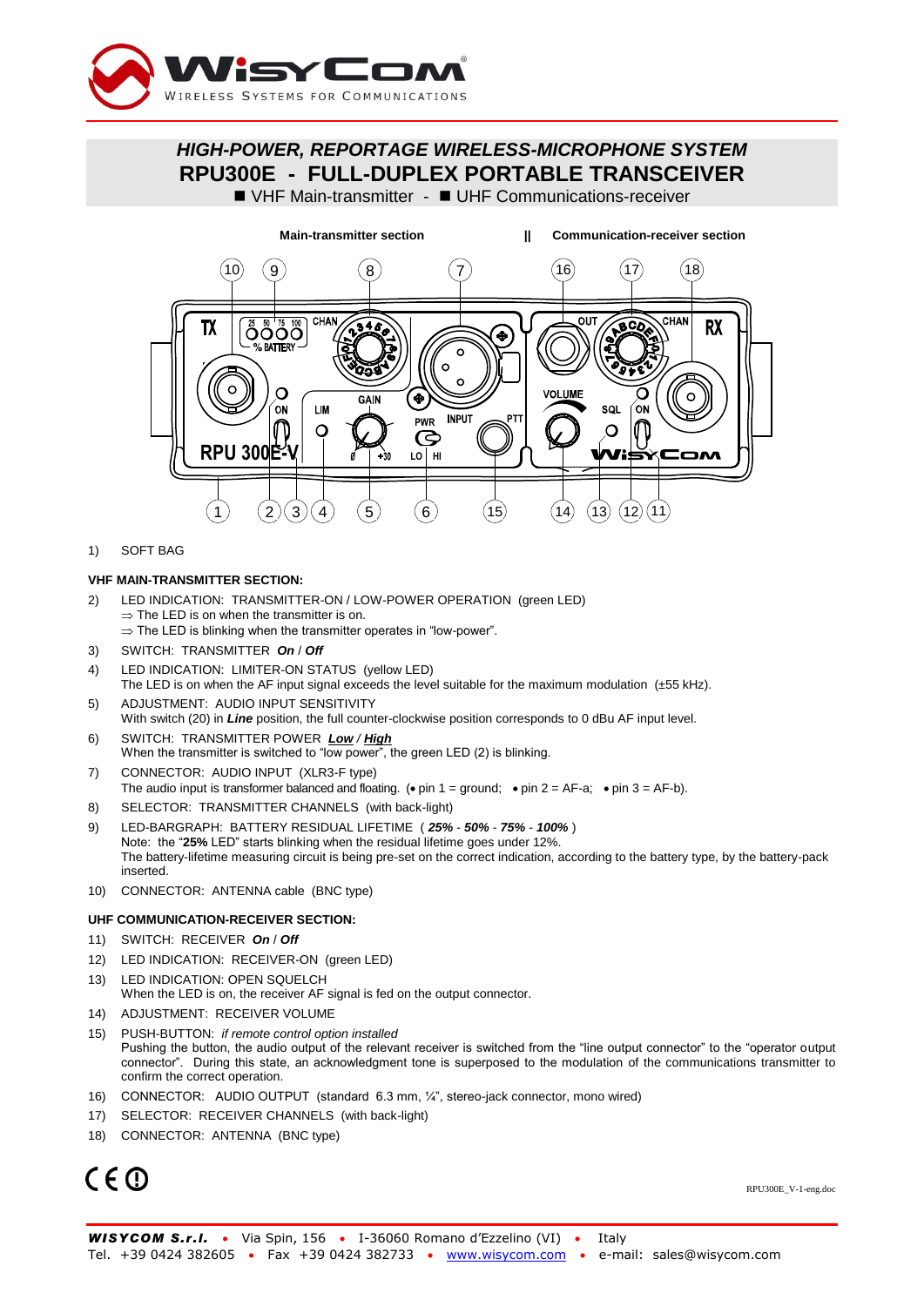

*HIGH-POWER, REPORTAGE WIRELESS-MICROPHONE SYSTEM* **RPU300E - FULL-DUPLEX PORTABLE TRANSCEIVER**

■ VHF Main-transmitter - ■ UHF Communications-receiver



1) SOFT BAG

## **VHF MAIN-TRANSMITTER SECTION:**

- 2) LED INDICATION: TRANSMITTER-ON / LOW-POWER OPERATION (green LED)  $\Rightarrow$  The LED is on when the transmitter is on.  $\Rightarrow$  The LED is blinking when the transmitter operates in "low-power".
- 3) SWITCH: TRANSMITTER *On* / *Off*
- 4) LED INDICATION: LIMITER-ON STATUS (yellow LED) The LED is on when the AF input signal exceeds the level suitable for the maximum modulation (±55 kHz).
- 5) ADJUSTMENT: AUDIO INPUT SENSITIVITY With switch (20) in *Line* position, the full counter-clockwise position corresponds to 0 dBu AF input level.
- 6) SWITCH: TRANSMITTER POWER *Low / High* When the transmitter is switched to "low power", the green LED (2) is blinking.
- 7) CONNECTOR: AUDIO INPUT (XLR3-F type) The audio input is transformer balanced and floating. ( $\bullet$  pin 1 = ground;  $\bullet$  pin 2 = AF-a;  $\bullet$  pin 3 = AF-b).
- 8) SELECTOR: TRANSMITTER CHANNELS (with back-light)
- 9) LED-BARGRAPH: BATTERY RESIDUAL LIFETIME ( *25% 50% 75% 100%* ) Note: the "**25%** LED" starts blinking when the residual lifetime goes under 12%. The battery-lifetime measuring circuit is being pre-set on the correct indication, according to the battery type, by the battery-pack inserted.
- 10) CONNECTOR: ANTENNA cable (BNC type)

#### **UHF COMMUNICATION-RECEIVER SECTION:**

- 11) SWITCH: RECEIVER *On* / *Off*
- 12) LED INDICATION: RECEIVER-ON (green LED)
- 13) LED INDICATION: OPEN SQUELCH When the LED is on, the receiver AF signal is fed on the output connector.
- 14) ADJUSTMENT: RECEIVER VOLUME
- 15) PUSH-BUTTON: *if remote control option installed* Pushing the button, the audio output of the relevant receiver is switched from the "line output connector" to the "operator output connector". During this state, an acknowledgment tone is superposed to the modulation of the communications transmitter to confirm the correct operation.
- 16) CONNECTOR: AUDIO OUTPUT (standard 6.3 mm, ¼", stereo-jack connector, mono wired)
- 17) SELECTOR: RECEIVER CHANNELS (with back-light)
- 18) CONNECTOR: ANTENNA (BNC type)

# $C \in \mathbb{O}$

RPU300E\_V-1-eng.doc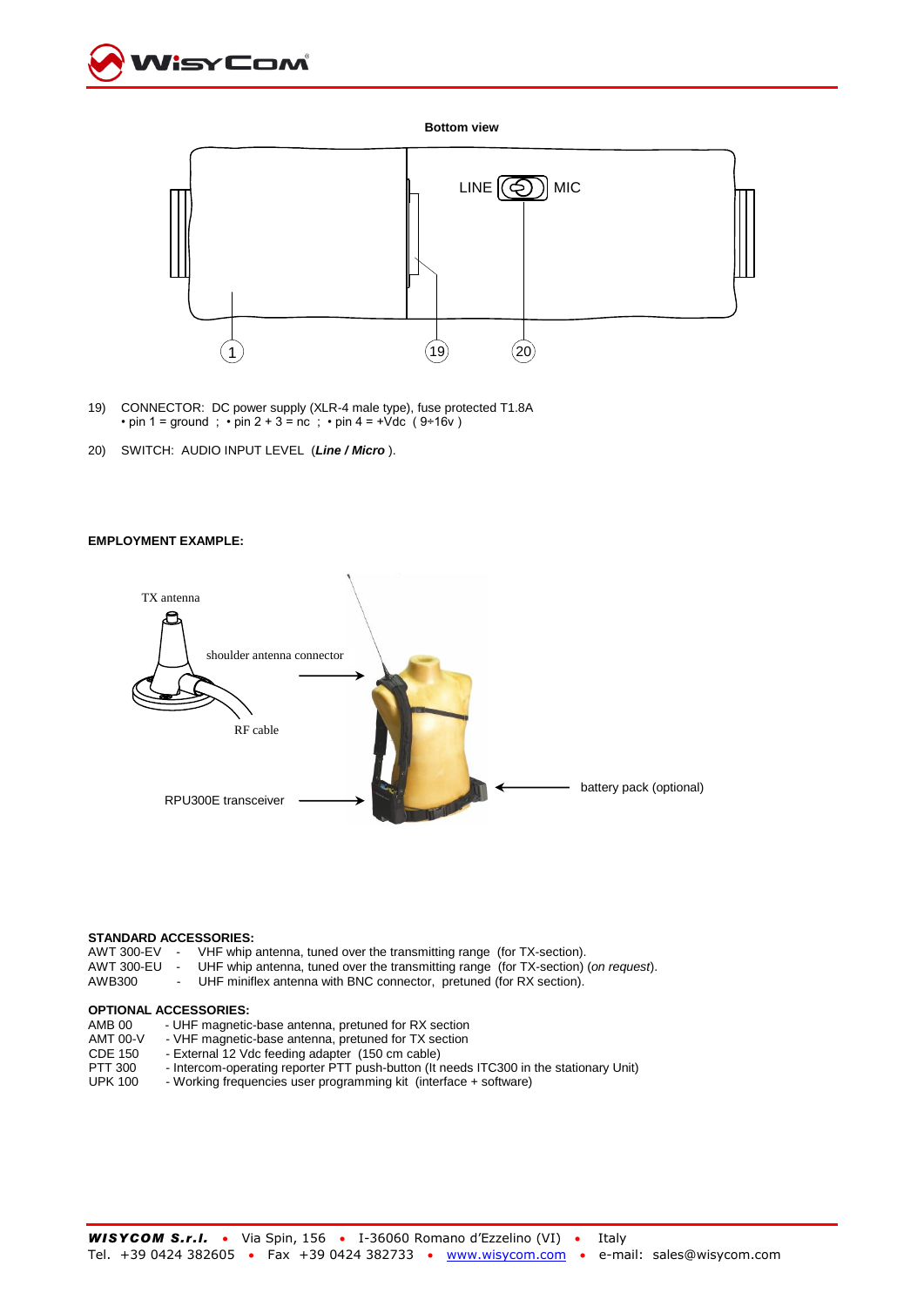



- 19) CONNECTOR: DC power supply (XLR-4 male type), fuse protected T1.8A • pin 1 = ground ; • pin 2 + 3 = nc ; • pin 4 = +Vdc (9÷16v)
- 20) SWITCH: AUDIO INPUT LEVEL (*Line / Micro* ).

## **EMPLOYMENT EXAMPLE:**



### **STANDARD ACCESSORIES:**

| AWT 300-EV -      | VHF whip antenna, tuned over the transmitting range (for TX-section).                                                                                                                                                                          |
|-------------------|------------------------------------------------------------------------------------------------------------------------------------------------------------------------------------------------------------------------------------------------|
|                   | AWT 300-EU - UHF whip antenna, tuned over the transmitting range (for TX-section) (on request).                                                                                                                                                |
| $\lambda$ 11/DQQQ | $1 \text{ H} \cdot \text{F}$ and $\text{H} \cdot \text{F}$ and $\text{H} \cdot \text{F}$ and $\text{H} \cdot \text{F}$ and $\text{H} \cdot \text{F}$ and $\text{H} \cdot \text{F}$ and $\text{H} \cdot \text{F}$ and $\text{H} \cdot \text{F}$ |

AWB300 - UHF miniflex antenna with BNC connector, pretuned (for RX section).

# **OPTIONAL ACCESSORIES:**<br>AMB 00 - UHF magnetic

- AMB 00 UHF magnetic-base antenna, pretuned for RX section<br>AMT 00-V VHF magnetic-base antenna, pretuned for TX section
- AMT 00-V VHF magnetic-base antenna, pretuned for TX section CDE 150 External 12 Vdc feeding adapter (150 cm cable)
- CDE 150 External 12 Vdc feeding adapter (150 cm cable)
- PTT 300 Intercom-operating reporter PTT push-button (It needs ITC300 in the stationary Unit)<br>UPK 100 Working frequencies user programming kit (interface + software)
- Working frequencies user programming kit (interface + software)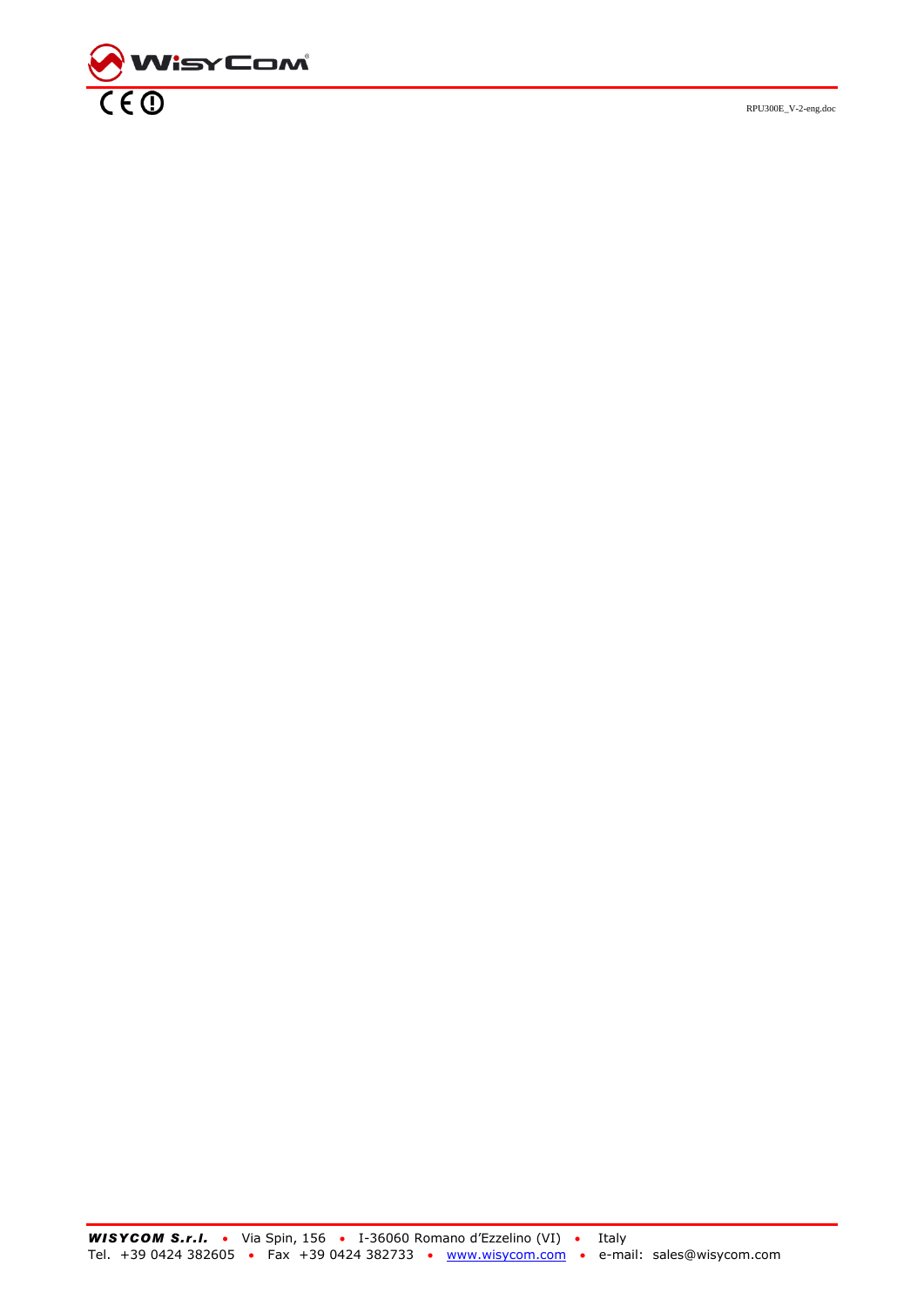

RPU300E\_V-2-eng.doc